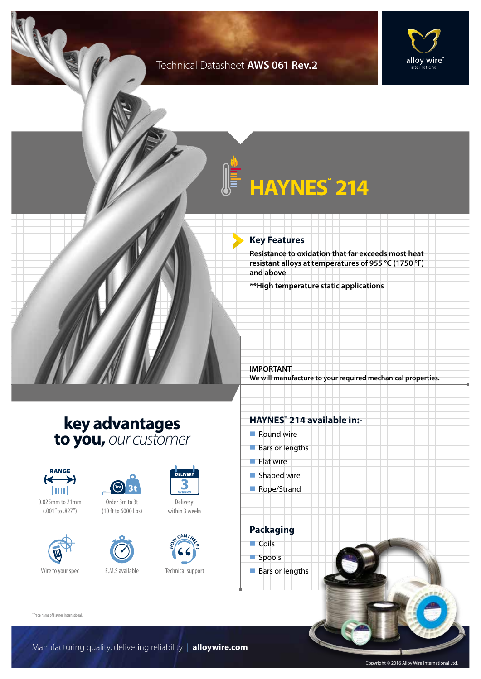### Technical Datasheet **AWS 061 Rev.2**



# **HAYNES˘ 214**

### **Key Features**

**Resistance to oxidation that far exceeds most heat resistant alloys at temperatures of 955 °C (1750 °F) and above**

**\*\*High temperature static applications**

**IMPORTANT We will manufacture to your required mechanical properties.**

### **key advantages to you,** *our customer*



0.025mm to 21mm (.001" to .827")





Order 3m to 3t (10 ft to 6000 Lbs)





Delivery: within 3 weeks



Technical support

### **HAYNES˘ 214 available in:-**

- $\blacksquare$  Round wire
- $Bars$  or lengths
- $\blacksquare$  Flat wire
- $\blacksquare$  Shaped wire
- Rope/Strand

**Packaging**  $\Box$  Coils spools  $\blacksquare$  Bars or lengths

˘Trade name of Haynes International.

Manufacturing quality, delivering reliability | **alloywire.com**

Copyright © 2016 Alloy Wire International Ltd.